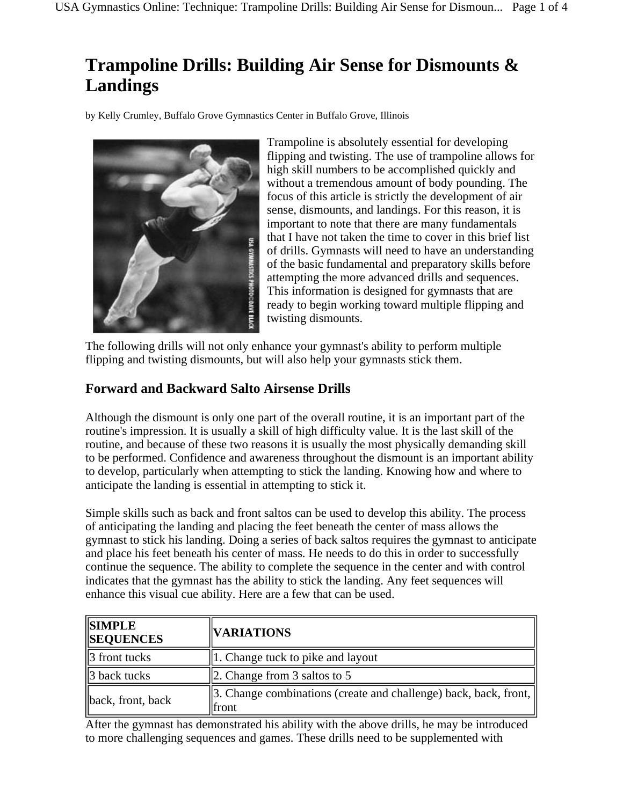# **Trampoline Drills: Building Air Sense for Dismounts & Landings**

by Kelly Crumley, Buffalo Grove Gymnastics Center in Buffalo Grove, Illinois



Trampoline is absolutely essential for developing flipping and twisting. The use of trampoline allows for high skill numbers to be accomplished quickly and without a tremendous amount of body pounding. The focus of this article is strictly the development of air sense, dismounts, and landings. For this reason, it is important to note that there are many fundamentals that I have not taken the time to cover in this brief list of drills. Gymnasts will need to have an understanding of the basic fundamental and preparatory skills before attempting the more advanced drills and sequences. This information is designed for gymnasts that are ready to begin working toward multiple flipping and twisting dismounts.

The following drills will not only enhance your gymnast's ability to perform multiple flipping and twisting dismounts, but will also help your gymnasts stick them.

## **Forward and Backward Salto Airsense Drills**

Although the dismount is only one part of the overall routine, it is an important part of the routine's impression. It is usually a skill of high difficulty value. It is the last skill of the routine, and because of these two reasons it is usually the most physically demanding skill to be performed. Confidence and awareness throughout the dismount is an important ability to develop, particularly when attempting to stick the landing. Knowing how and where to anticipate the landing is essential in attempting to stick it.

Simple skills such as back and front saltos can be used to develop this ability. The process of anticipating the landing and placing the feet beneath the center of mass allows the gymnast to stick his landing. Doing a series of back saltos requires the gymnast to anticipate and place his feet beneath his center of mass. He needs to do this in order to successfully continue the sequence. The ability to complete the sequence in the center and with control indicates that the gymnast has the ability to stick the landing. Any feet sequences will enhance this visual cue ability. Here are a few that can be used.

| <b>SIMPLE</b><br><b>SEQUENCES</b> | <b>VARIATIONS</b>                                                         |
|-----------------------------------|---------------------------------------------------------------------------|
| 3 front tucks                     | $\parallel$ 1. Change tuck to pike and layout                             |
| $\parallel$ 3 back tucks          | $\vert$ 2. Change from 3 saltos to 5                                      |
| back, front, back                 | 3. Change combinations (create and challenge) back, back, front,<br>front |

After the gymnast has demonstrated his ability with the above drills, he may be introduced to more challenging sequences and games. These drills need to be supplemented with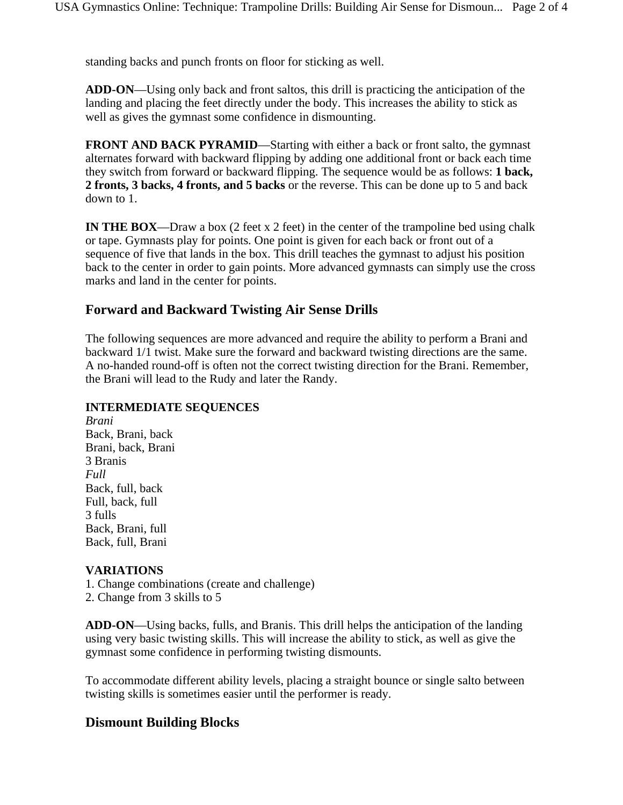standing backs and punch fronts on floor for sticking as well.

**ADD-ON**—Using only back and front saltos, this drill is practicing the anticipation of the landing and placing the feet directly under the body. This increases the ability to stick as well as gives the gymnast some confidence in dismounting.

**FRONT AND BACK PYRAMID—Starting with either a back or front salto, the gymnast** alternates forward with backward flipping by adding one additional front or back each time they switch from forward or backward flipping. The sequence would be as follows: **1 back, 2 fronts, 3 backs, 4 fronts, and 5 backs** or the reverse. This can be done up to 5 and back down to 1.

**IN THE BOX—Draw a box** (2 feet x 2 feet) in the center of the trampoline bed using chalk or tape. Gymnasts play for points. One point is given for each back or front out of a sequence of five that lands in the box. This drill teaches the gymnast to adjust his position back to the center in order to gain points. More advanced gymnasts can simply use the cross marks and land in the center for points.

## **Forward and Backward Twisting Air Sense Drills**

The following sequences are more advanced and require the ability to perform a Brani and backward 1/1 twist. Make sure the forward and backward twisting directions are the same. A no-handed round-off is often not the correct twisting direction for the Brani. Remember, the Brani will lead to the Rudy and later the Randy.

#### **INTERMEDIATE SEQUENCES**

*Brani* Back, Brani, back Brani, back, Brani 3 Branis *Full* Back, full, back Full, back, full 3 fulls Back, Brani, full Back, full, Brani

#### **VARIATIONS**

1. Change combinations (create and challenge)

2. Change from 3 skills to 5

**ADD-ON**—Using backs, fulls, and Branis. This drill helps the anticipation of the landing using very basic twisting skills. This will increase the ability to stick, as well as give the gymnast some confidence in performing twisting dismounts.

To accommodate different ability levels, placing a straight bounce or single salto between twisting skills is sometimes easier until the performer is ready.

### **Dismount Building Blocks**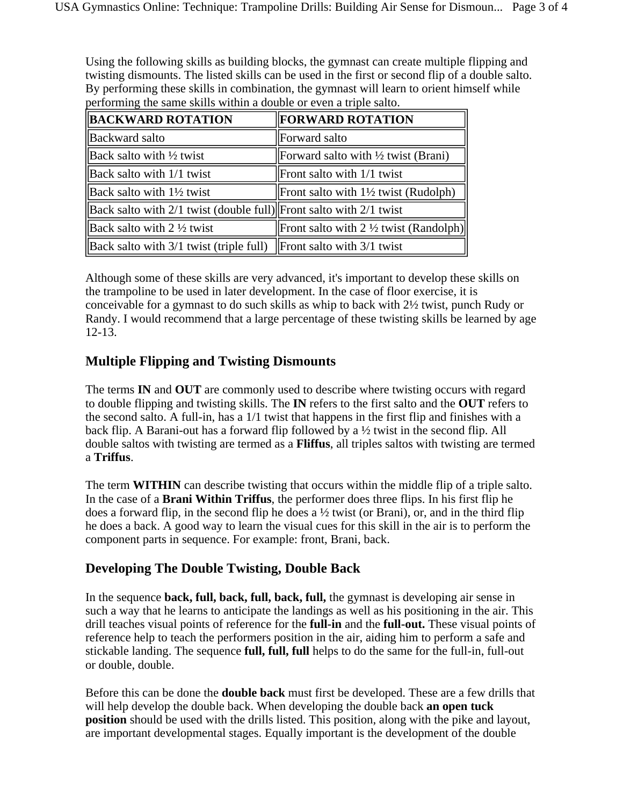Using the following skills as building blocks, the gymnast can create multiple flipping and twisting dismounts. The listed skills can be used in the first or second flip of a double salto. By performing these skills in combination, the gymnast will learn to orient himself while performing the same skills within a double or even a triple salto.

| <b>BACKWARD ROTATION</b>                                                                                               | <b>FORWARD ROTATION</b>                           |
|------------------------------------------------------------------------------------------------------------------------|---------------------------------------------------|
| <b>Backward salto</b>                                                                                                  | Forward salto                                     |
| $\parallel$ Back salto with $\frac{1}{2}$ twist                                                                        | Forward salto with $\frac{1}{2}$ twist (Brani)    |
| $\vert$ Back salto with 1/1 twist                                                                                      | $\Gamma$ Front salto with 1/1 twist               |
| $\parallel$ Back salto with 1½ twist                                                                                   | Front salto with $1\frac{1}{2}$ twist (Rudolph)   |
| Back salto with $2/1$ twist (double full) Front salto with $2/1$ twist                                                 |                                                   |
| Back salto with $2\frac{1}{2}$ twist                                                                                   | Front salto with $2 \frac{1}{2}$ twist (Randolph) |
| $\left\  \text{Back} \right\ $ salto with 3/1 twist (triple full) $\left\  \text{Front} \right\ $ salto with 3/1 twist |                                                   |

Although some of these skills are very advanced, it's important to develop these skills on the trampoline to be used in later development. In the case of floor exercise, it is conceivable for a gymnast to do such skills as whip to back with 2½ twist, punch Rudy or Randy. I would recommend that a large percentage of these twisting skills be learned by age 12-13.

## **Multiple Flipping and Twisting Dismounts**

The terms **IN** and **OUT** are commonly used to describe where twisting occurs with regard to double flipping and twisting skills. The **IN** refers to the first salto and the **OUT** refers to the second salto. A full-in, has a 1/1 twist that happens in the first flip and finishes with a back flip. A Barani-out has a forward flip followed by a ½ twist in the second flip. All double saltos with twisting are termed as a **Fliffus**, all triples saltos with twisting are termed a **Triffus**.

The term **WITHIN** can describe twisting that occurs within the middle flip of a triple salto. In the case of a **Brani Within Triffus**, the performer does three flips. In his first flip he does a forward flip, in the second flip he does a  $\frac{1}{2}$  twist (or Brani), or, and in the third flip he does a back. A good way to learn the visual cues for this skill in the air is to perform the component parts in sequence. For example: front, Brani, back.

## **Developing The Double Twisting, Double Back**

In the sequence **back, full, back, full, back, full,** the gymnast is developing air sense in such a way that he learns to anticipate the landings as well as his positioning in the air. This drill teaches visual points of reference for the **full-in** and the **full-out.** These visual points of reference help to teach the performers position in the air, aiding him to perform a safe and stickable landing. The sequence **full, full, full** helps to do the same for the full-in, full-out or double, double.

Before this can be done the **double back** must first be developed. These are a few drills that will help develop the double back. When developing the double back **an open tuck position** should be used with the drills listed. This position, along with the pike and layout, are important developmental stages. Equally important is the development of the double